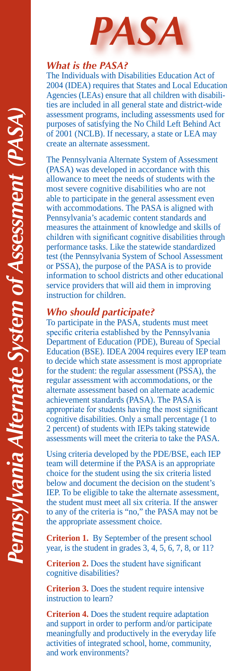

## *What is the PASA?*

The Individuals with Disabilities Education Act of 2004 (IDEA) requires that States and Local Education Agencies (LEAs) ensure that all children with disabilities are included in all general state and district-wide assessment programs, including assessments used for purposes of satisfying the No Child Left Behind Act of 2001 (NCLB). If necessary, a state or LEA may create an alternate assessment.

The Pennsylvania Alternate System of Assessment (PASA) was developed in accordance with this allowance to meet the needs of students with the most severe cognitive disabilities who are not able to participate in the general assessment even with accommodations. The PASA is aligned with Pennsylvania's academic content standards and measures the attainment of knowledge and skills of children with significant cognitive disabilities through performance tasks. Like the statewide standardized test (the Pennsylvania System of School Assessment or PSSA), the purpose of the PASA is to provide information to school districts and other educational service providers that will aid them in improving instruction for children.

## *Who should participate?*

To participate in the PASA, students must meet specific criteria established by the Pennsylvania Department of Education (PDE), Bureau of Special Education (BSE). IDEA 2004 requires every IEP team to decide which state assessment is most appropriate for the student: the regular assessment (PSSA), the regular assessment with accommodations, or the alternate assessment based on alternate academic achievement standards (PASA). The PASA is appropriate for students having the most significant cognitive disabilities. Only a small percentage (1 to 2 percent) of students with IEPs taking statewide assessments will meet the criteria to take the PASA.

Using criteria developed by the PDE/BSE, each IEP team will determine if the PASA is an appropriate choice for the student using the six criteria listed below and document the decision on the student's IEP. To be eligible to take the alternate assessment, the student must meet all six criteria. If the answer to any of the criteria is "no," the PASA may not be the appropriate assessment choice.

**Criterion 1.** By September of the present school year, is the student in grades 3, 4, 5, 6, 7, 8, or 11?

**Criterion 2.** Does the student have significant cognitive disabilities?

**Criterion 3.** Does the student require intensive instruction to learn?

**Criterion 4.** Does the student require adaptation and support in order to perform and/or participate meaningfully and productively in the everyday life activities of integrated school, home, community, and work environments?